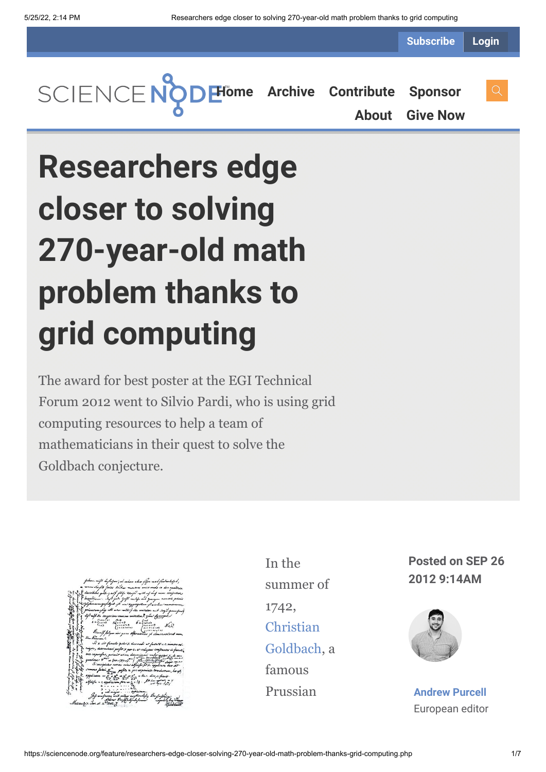**Subscribe Login**

**[Home](https://sciencenode.org/) [Archive](https://sciencenode.org/archive/index.php) [Contribute](https://sciencenode.org/contribute/index.php) [Sponsor](https://sciencenode.org/sponsor/index.php)**

**[About](https://sciencenode.org/about/index.php) [Give Now](https://sciencenode.org/donate/index.php)**

## **Researchers edge closer to solving 270-year-old math problem thanks to grid computing**

The award for best poster at the EGI Technical Forum 2012 went to Silvio Pardi, who is using grid computing resources to help a team of mathematicians in their quest to solve the Goldbach conjecture.

| fabum, nift bojbojan', al vahaa ahaa fifoa mal foutantisfab,                                                                                                                                                                                                                                                                                                                                                                        |  |
|-------------------------------------------------------------------------------------------------------------------------------------------------------------------------------------------------------------------------------------------------------------------------------------------------------------------------------------------------------------------------------------------------------------------------------------|--|
| m rennardinglik feries. Dukar minimes unice meda in due apadrita                                                                                                                                                                                                                                                                                                                                                                    |  |
| 2 divisibiles gute gail fill aring with with of easy wine conjustive                                                                                                                                                                                                                                                                                                                                                                |  |
| Salahiyan Safi yak da yak matifu sada yang memente penuti.<br>Safi yang mengerjukkan ya masayang kemudian memberi mang                                                                                                                                                                                                                                                                                                              |  |
| primorum glag all was will for mitaton and steeping analysed                                                                                                                                                                                                                                                                                                                                                                        |  |
| hif aif in congrim onnium unitation? give famousl                                                                                                                                                                                                                                                                                                                                                                                   |  |
| $f = \begin{cases} \frac{1}{2} & \text{if } 1 & \text{if } 2 & \text{if } 3 & \text{if } 3 & \text{if } 4 & \text{if } 5 & \text{if } 5 & \text{if } 6 & \text{if } 7 & \text{if } 8 & \text{if } 9 & \text{if } 9 & \text{if } 1 & \text{if } 1 & \text{if } 1 & \text{if } 1 & \text{if } 1 & \text{if } 1 & \text{if } 1 & \text{if } 1 & \text{if } 1 & \text{if } 1 & \text{if } 1 & \text{if } 1 & \text{if } 1 & \text{if }$ |  |
| Buent folger in your observations of demonstrations men.                                                                                                                                                                                                                                                                                                                                                                            |  |
| d'un Kommu                                                                                                                                                                                                                                                                                                                                                                                                                          |  |
| Si se, sit functio ipsius se ciuxmadi ux facha V = c. rumeno cui-                                                                                                                                                                                                                                                                                                                                                                   |  |
| ciajn, determinari posfit x per c. et reliques confrantes in functio                                                                                                                                                                                                                                                                                                                                                                |  |
|                                                                                                                                                                                                                                                                                                                                                                                                                                     |  |
|                                                                                                                                                                                                                                                                                                                                                                                                                                     |  |
| summe faire X pofita a pro expensate termination, has off,<br>applicate = $x + x + x + 1$ + Sec. die, is factor                                                                                                                                                                                                                                                                                                                     |  |
| ableight - 2 application pre- 2 3 13 . It has two line                                                                                                                                                                                                                                                                                                                                                                              |  |
|                                                                                                                                                                                                                                                                                                                                                                                                                                     |  |
| If you faith a stage in influence.<br>If you faith with a they are foundary for the stage of the South of the South of the South of the South of the<br>American former for the stage of the stage of the South of the South of the                                                                                                                                                                                                 |  |
| Moscous 7. Jun. st. n. 7142.7                                                                                                                                                                                                                                                                                                                                                                                                       |  |

In the summer of 1742, Christian [Goldbach,](http://www-history.mcs.st-and.ac.uk/Biographies/Goldbach.html) a famous Prussian

**Posted on SEP 26 2012 9:14AM**



**[Andrew Purcell](https://sciencenode.org/author/andrew-purcell.php)** European editor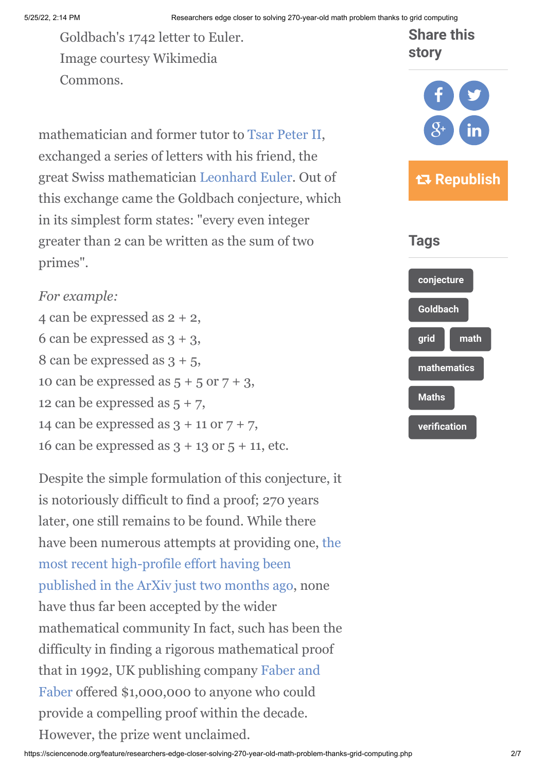Goldbach's 1742 letter to Euler. Image courtesy Wikimedia Commons.

mathematician and former tutor to [Tsar Peter II,](http://en.wikipedia.org/wiki/Peter_II_of_Russia) exchanged a series of letters with his friend, the great Swiss mathematician [Leonhard Euler.](http://www-history.mcs.st-and.ac.uk/Biographies/Euler.html) Out of this exchange came the Goldbach conjecture, which in its simplest form states: "every even integer greater than 2 can be written as the sum of two primes".

## *For example:*

4 can be expressed as 2 + 2, 6 can be expressed as  $3 + 3$ , 8 can be expressed as  $3 + 5$ , 10 can be expressed as  $5 + 5$  or  $7 + 3$ , 12 can be expressed as  $5 + 7$ , 14 can be expressed as  $3 + 11$  or  $7 + 7$ , 16 can be expressed as  $3 + 13$  or  $5 + 11$ , etc.

Despite the simple formulation of this conjecture, it is notoriously difficult to find a proof; 270 years later, one still remains to be found. While there [have been numerous attempts at providing one, the](http://arxiv.org/abs/1208.2473) most recent high-profile effort having been published in the ArXiv just two months ago, none have thus far been accepted by the wider mathematical community In fact, such has been the difficulty in finding a rigorous mathematical proof [that in 1992, UK publishing company Faber and](http://www.faber.co.uk/) Faber offered \$1,000,000 to anyone who could provide a compelling proof within the decade. However, the prize went unclaimed.

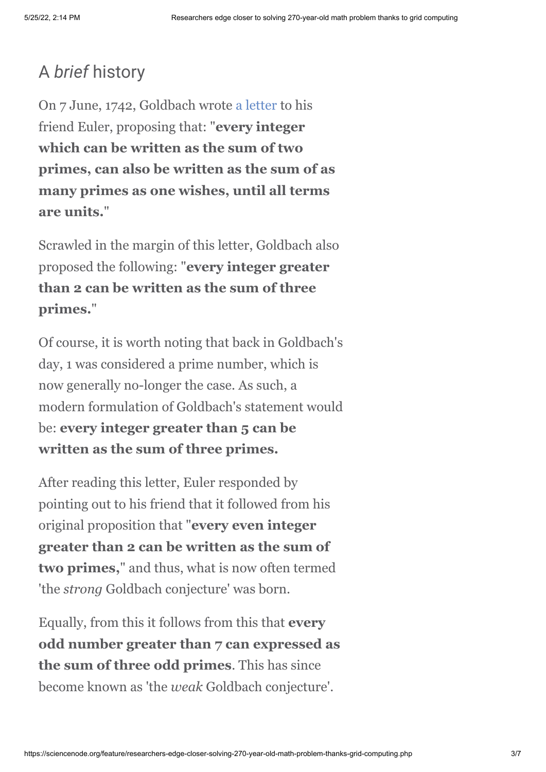## A *brief* history

On 7 June, 1742, Goldbach wrote [a letter](http://natureofmathematics.files.wordpress.com/2010/05/letter_goldbaxh-euler.jpg) to his friend Euler, proposing that: "**every integer which can be written as the sum of two primes, can also be written as the sum of as many primes as one wishes, until all terms are units.**"

Scrawled in the margin of this letter, Goldbach also proposed the following: "**every integer greater than 2 can be written as the sum of three primes.**"

Of course, it is worth noting that back in Goldbach's day, 1 was considered a prime number, which is now generally no-longer the case. As such, a modern formulation of Goldbach's statement would be: **every integer greater than 5 can be written as the sum of three primes.**

After reading this letter, Euler responded by pointing out to his friend that it followed from his original proposition that "**every even integer greater than 2 can be written as the sum of two primes,**" and thus, what is now often termed 'the *strong* Goldbach conjecture' was born.

Equally, from this it follows from this that **every odd number greater than 7 can expressed as the sum of three odd primes**. This has since become known as 'the *weak* Goldbach conjecture'.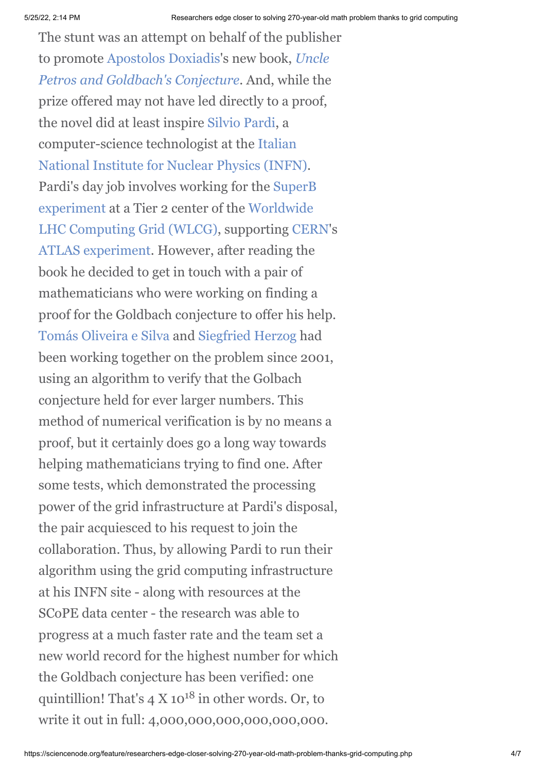The stunt was an attempt on behalf of the publisher [to promote A](http://www.faber.co.uk/work/uncle-petros-and-goldbachs-conjecture/9780571205110/)[postolos Doxiadi](http://www.faber.co.uk/author/apostolos-doxiadis/)[s's new book,](http://www.faber.co.uk/work/uncle-petros-and-goldbachs-conjecture/9780571205110/) *Uncle Petros and Goldbach's Conjecture*. And, while the prize offered may not have led directly to a proof, the novel did at least inspire [Silvio Pardi](http://it.linkedin.com/pub/silvio-pardi/10/754/ab5), a computer-science technologist at the Italian [National Institute for Nuclear Physics \(INFN\)](http://www.infn.it/). [Pardi's day job involves working for the SuperB](http://en.wikipedia.org/wiki/SuperB) experiment at a Tier 2 center of the Worldwide [LHC Computing Grid \(WLCG\), supporting CE](http://www.isgtw.org/feature/happy-10th-birthday-wlcg)[RN](http://www.cern.ch/)'s [ATLAS experiment](http://www.atlas.ch/). However, after reading the book he decided to get in touch with a pair of mathematicians who were working on finding a proof for the Goldbach conjecture to offer his help. [Tomás Oliveira e Silva](http://www.ieeta.pt/~tos/) and [Siegfried Herzog](http://mac6.ma.psu.edu/) had been working together on the problem since 2001, using an algorithm to verify that the Golbach conjecture held for ever larger numbers. This method of numerical verification is by no means a proof, but it certainly does go a long way towards helping mathematicians trying to find one. After some tests, which demonstrated the processing power of the grid infrastructure at Pardi's disposal, the pair acquiesced to his request to join the collaboration. Thus, by allowing Pardi to run their algorithm using the grid computing infrastructure at his INFN site - along with resources at the SCoPE data center - the research was able to progress at a much faster rate and the team set a new world record for the highest number for which the Goldbach conjecture has been verified: one quintillion! That's  $4 \text{ X } 10^{18}$  in other words. Or, to write it out in full: 4,000,000,000,000,000,000.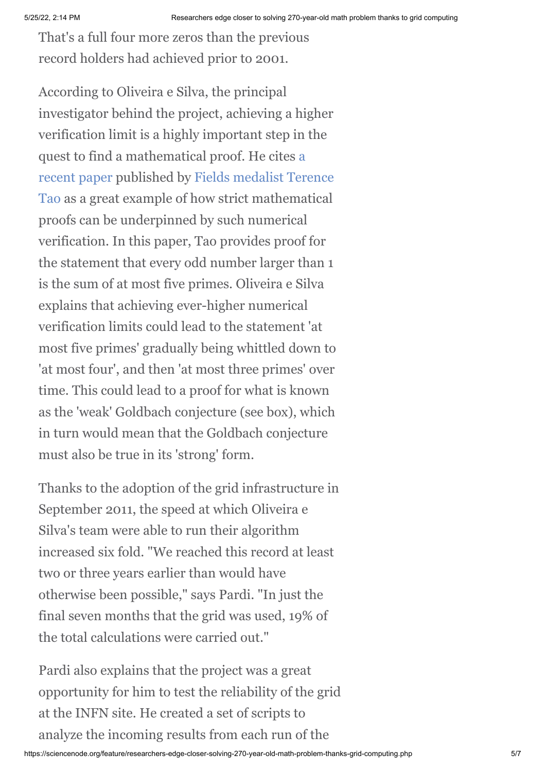That's a full four more zeros than the previous record holders had achieved prior to 2001.

According to Oliveira e Silva, the principal investigator behind the project, achieving a higher verification limit is a highly important step in the [quest to find a mathematical proof. He cites a](http://arxiv.org/abs/1201.6656) recent paper published by [Fields medalist](http://www.mathunion.org/general/prizes/fields/details/) Terence [Tao as a great example of how strict mathematical](http://en.wikipedia.org/wiki/Terence_Tao) proofs can be underpinned by such numerical verification. In this paper, Tao provides proof for the statement that every odd number larger than 1 is the sum of at most five primes. Oliveira e Silva explains that achieving ever-higher numerical verification limits could lead to the statement 'at most five primes' gradually being whittled down to 'at most four', and then 'at most three primes' over time. This could lead to a proof for what is known as the 'weak' Goldbach conjecture (see box), which in turn would mean that the Goldbach conjecture must also be true in its 'strong' form.

Thanks to the adoption of the grid infrastructure in September 2011, the speed at which Oliveira e Silva's team were able to run their algorithm increased six fold. "We reached this record at least two or three years earlier than would have otherwise been possible," says Pardi. "In just the final seven months that the grid was used, 19% of the total calculations were carried out."

Pardi also explains that the project was a great opportunity for him to test the reliability of the grid at the INFN site. He created a set of scripts to analyze the incoming results from each run of the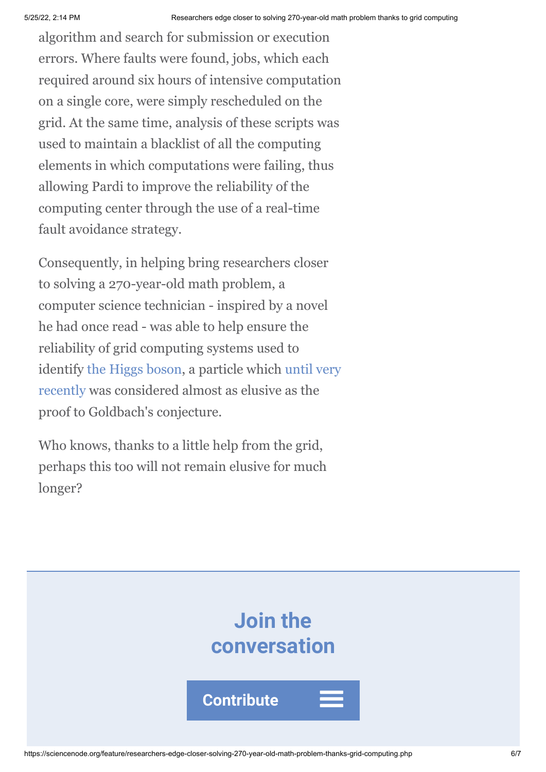algorithm and search for submission or execution errors. Where faults were found, jobs, which each required around six hours of intensive computation on a single core, were simply rescheduled on the grid. At the same time, analysis of these scripts was used to maintain a blacklist of all the computing elements in which computations were failing, thus allowing Pardi to improve the reliability of the computing center through the use of a real-time fault avoidance strategy.

Consequently, in helping bring researchers closer to solving a 270-year-old math problem, a computer science technician - inspired by a novel he had once read - was able to help ensure the reliability of grid computing systems used to [identify t](http://press.web.cern.ch/press/PressReleases/Releases2012/PR17.12E.html)[he Higgs boso](http://en.wikipedia.org/wiki/Higgs_boson)[n, a particle which until very](http://press.web.cern.ch/press/PressReleases/Releases2012/PR17.12E.html) recently was considered almost as elusive as the proof to Goldbach's conjecture.

Who knows, thanks to a little help from the grid, perhaps this too will not remain elusive for much longer?